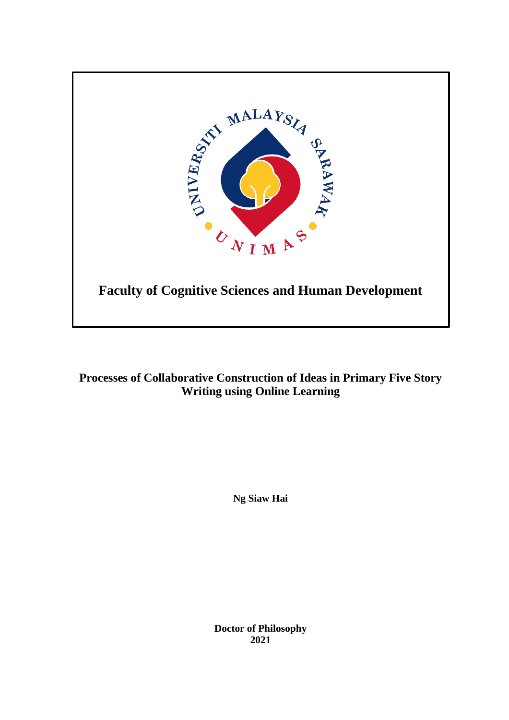

**Processes of Collaborative Construction of Ideas in Primary Five Story Writing using Online Learning**

**Ng Siaw Hai**

**Doctor of Philosophy 2021**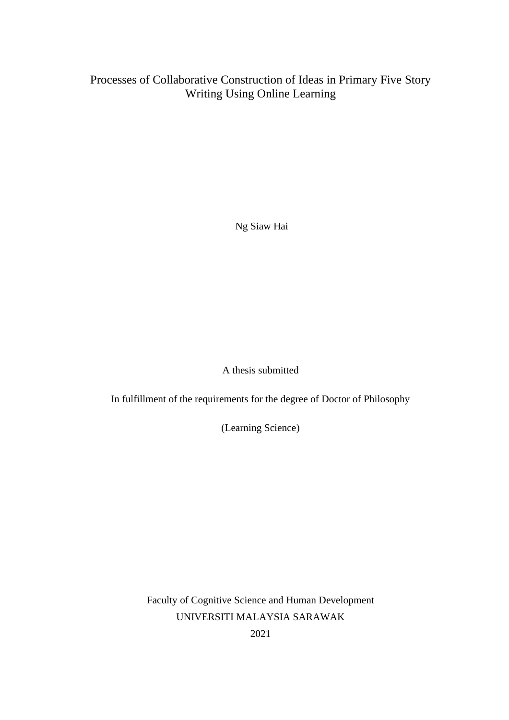# Processes of Collaborative Construction of Ideas in Primary Five Story Writing Using Online Learning

Ng Siaw Hai

A thesis submitted

In fulfillment of the requirements for the degree of Doctor of Philosophy

(Learning Science)

Faculty of Cognitive Science and Human Development UNIVERSITI MALAYSIA SARAWAK

2021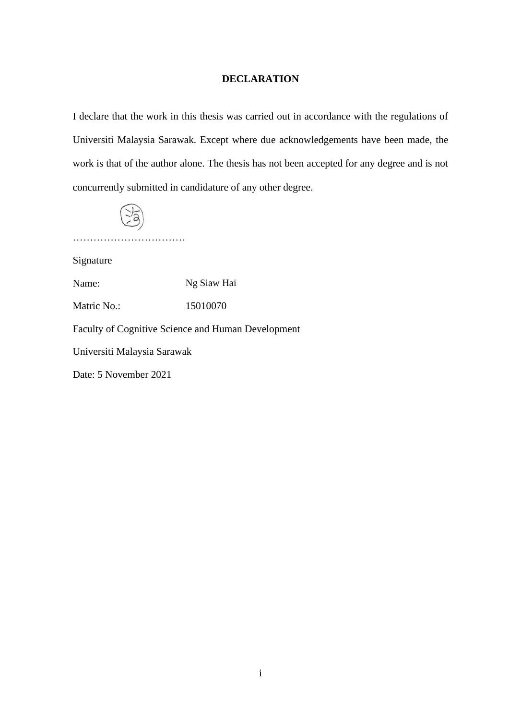#### **DECLARATION**

I declare that the work in this thesis was carried out in accordance with the regulations of Universiti Malaysia Sarawak. Except where due acknowledgements have been made, the work is that of the author alone. The thesis has not been accepted for any degree and is not concurrently submitted in candidature of any other degree.



……………………………

Signature

Name: Ng Siaw Hai

Matric No.: 15010070

Faculty of Cognitive Science and Human Development

Universiti Malaysia Sarawak

Date: 5 November 2021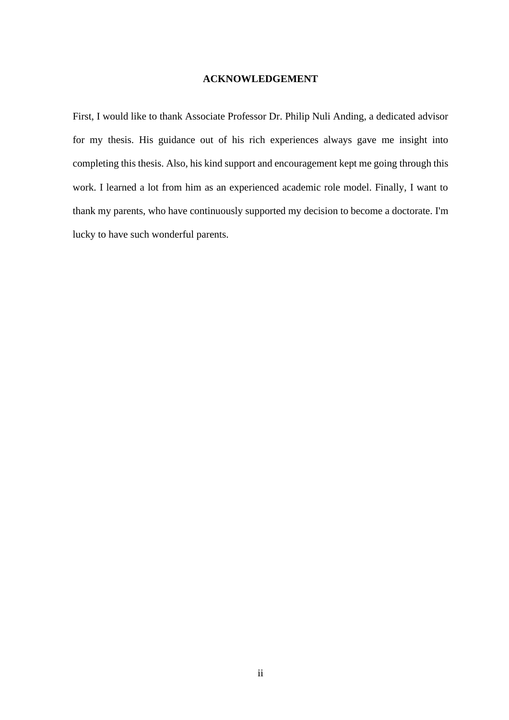#### **ACKNOWLEDGEMENT**

First, I would like to thank Associate Professor Dr. Philip Nuli Anding, a dedicated advisor for my thesis. His guidance out of his rich experiences always gave me insight into completing this thesis. Also, his kind support and encouragement kept me going through this work. I learned a lot from him as an experienced academic role model. Finally, I want to thank my parents, who have continuously supported my decision to become a doctorate. I'm lucky to have such wonderful parents.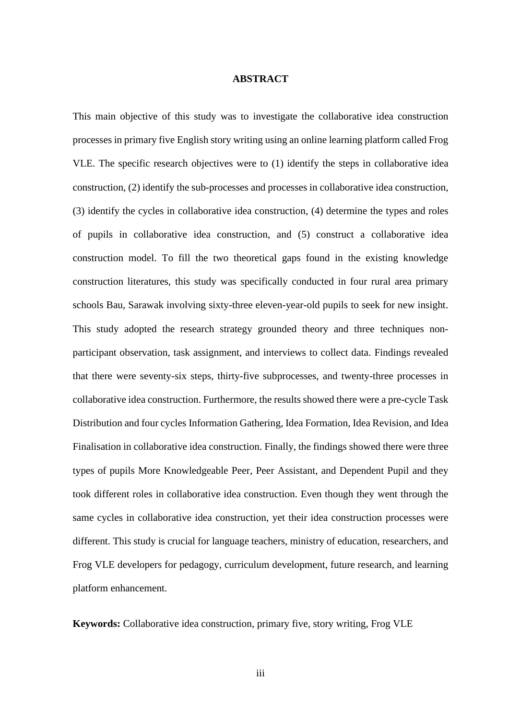#### **ABSTRACT**

This main objective of this study was to investigate the collaborative idea construction processes in primary five English story writing using an online learning platform called Frog VLE. The specific research objectives were to (1) identify the steps in collaborative idea construction, (2) identify the sub-processes and processes in collaborative idea construction, (3) identify the cycles in collaborative idea construction, (4) determine the types and roles of pupils in collaborative idea construction, and (5) construct a collaborative idea construction model. To fill the two theoretical gaps found in the existing knowledge construction literatures, this study was specifically conducted in four rural area primary schools Bau, Sarawak involving sixty-three eleven-year-old pupils to seek for new insight. This study adopted the research strategy grounded theory and three techniques nonparticipant observation, task assignment, and interviews to collect data. Findings revealed that there were seventy-six steps, thirty-five subprocesses, and twenty-three processes in collaborative idea construction. Furthermore, the results showed there were a pre-cycle Task Distribution and four cycles Information Gathering, Idea Formation, Idea Revision, and Idea Finalisation in collaborative idea construction. Finally, the findings showed there were three types of pupils More Knowledgeable Peer, Peer Assistant, and Dependent Pupil and they took different roles in collaborative idea construction. Even though they went through the same cycles in collaborative idea construction, yet their idea construction processes were different. This study is crucial for language teachers, ministry of education, researchers, and Frog VLE developers for pedagogy, curriculum development, future research, and learning platform enhancement.

**Keywords:** Collaborative idea construction, primary five, story writing, Frog VLE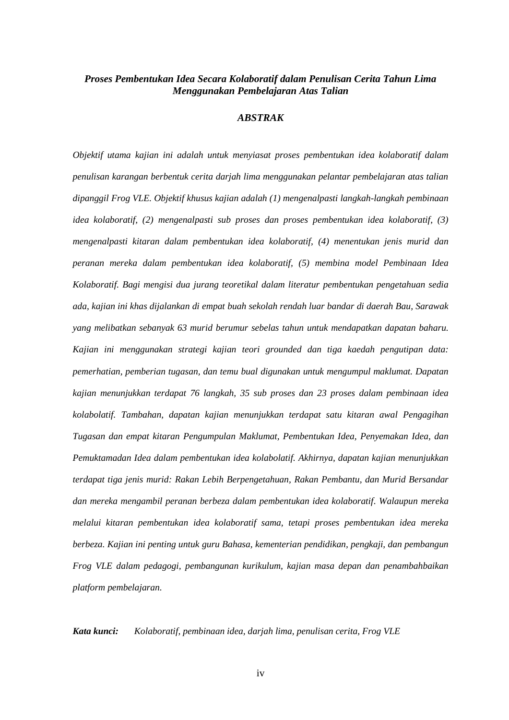### *Proses Pembentukan Idea Secara Kolaboratif dalam Penulisan Cerita Tahun Lima Menggunakan Pembelajaran Atas Talian*

#### *ABSTRAK*

*Objektif utama kajian ini adalah untuk menyiasat proses pembentukan idea kolaboratif dalam penulisan karangan berbentuk cerita darjah lima menggunakan pelantar pembelajaran atas talian dipanggil Frog VLE. Objektif khusus kajian adalah (1) mengenalpasti langkah-langkah pembinaan idea kolaboratif, (2) mengenalpasti sub proses dan proses pembentukan idea kolaboratif, (3) mengenalpasti kitaran dalam pembentukan idea kolaboratif, (4) menentukan jenis murid dan peranan mereka dalam pembentukan idea kolaboratif, (5) membina model Pembinaan Idea Kolaboratif. Bagi mengisi dua jurang teoretikal dalam literatur pembentukan pengetahuan sedia ada, kajian ini khas dijalankan di empat buah sekolah rendah luar bandar di daerah Bau, Sarawak yang melibatkan sebanyak 63 murid berumur sebelas tahun untuk mendapatkan dapatan baharu. Kajian ini menggunakan strategi kajian teori grounded dan tiga kaedah pengutipan data: pemerhatian, pemberian tugasan, dan temu bual digunakan untuk mengumpul maklumat. Dapatan kajian menunjukkan terdapat 76 langkah, 35 sub proses dan 23 proses dalam pembinaan idea kolabolatif. Tambahan, dapatan kajian menunjukkan terdapat satu kitaran awal Pengagihan Tugasan dan empat kitaran Pengumpulan Maklumat, Pembentukan Idea, Penyemakan Idea, dan Pemuktamadan Idea dalam pembentukan idea kolabolatif. Akhirnya, dapatan kajian menunjukkan terdapat tiga jenis murid: Rakan Lebih Berpengetahuan, Rakan Pembantu, dan Murid Bersandar dan mereka mengambil peranan berbeza dalam pembentukan idea kolaboratif. Walaupun mereka melalui kitaran pembentukan idea kolaboratif sama, tetapi proses pembentukan idea mereka berbeza. Kajian ini penting untuk guru Bahasa, kementerian pendidikan, pengkaji, dan pembangun Frog VLE dalam pedagogi, pembangunan kurikulum, kajian masa depan dan penambahbaikan platform pembelajaran.*

*Kata kunci: Kolaboratif, pembinaan idea, darjah lima, penulisan cerita, Frog VLE*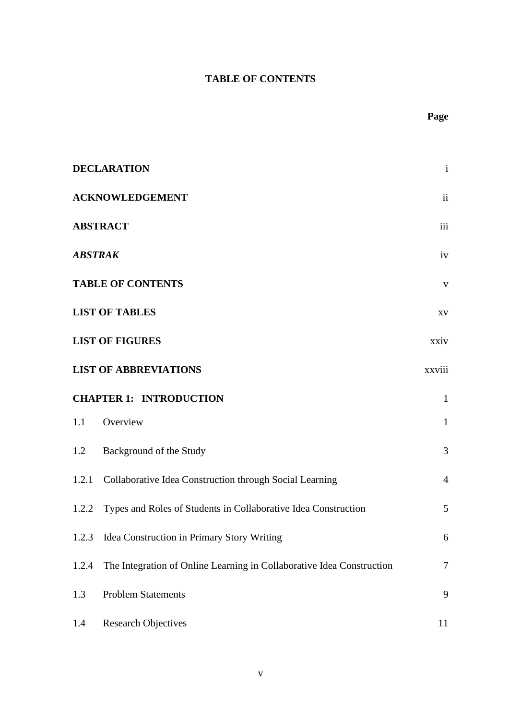## **TABLE OF CONTENTS**

|                                | <b>DECLARATION</b>                                                    | $\mathbf{i}$             |
|--------------------------------|-----------------------------------------------------------------------|--------------------------|
|                                | <b>ACKNOWLEDGEMENT</b>                                                | $\overline{\mathbf{ii}}$ |
|                                | <b>ABSTRACT</b>                                                       | iii                      |
| <b>ABSTRAK</b>                 |                                                                       | iv                       |
|                                | <b>TABLE OF CONTENTS</b>                                              | $\mathbf V$              |
|                                | <b>LIST OF TABLES</b>                                                 | $\mathbf{X}\mathbf{V}$   |
|                                | <b>LIST OF FIGURES</b>                                                | xxiv                     |
|                                | <b>LIST OF ABBREVIATIONS</b>                                          | xxviii                   |
| <b>CHAPTER 1: INTRODUCTION</b> |                                                                       | $\mathbf{1}$             |
| 1.1                            | Overview                                                              | $\mathbf{1}$             |
|                                | 1.2 Background of the Study                                           | $\mathfrak{Z}$           |
|                                | 1.2.1 Collaborative Idea Construction through Social Learning         | $\overline{4}$           |
|                                | 1.2.2 Types and Roles of Students in Collaborative Idea Construction  | 5                        |
|                                | 1.2.3 Idea Construction in Primary Story Writing                      | 6                        |
| 1.2.4                          | The Integration of Online Learning in Collaborative Idea Construction | 7                        |
| 1.3                            | <b>Problem Statements</b>                                             | 9                        |
| 1.4                            | <b>Research Objectives</b>                                            | 11                       |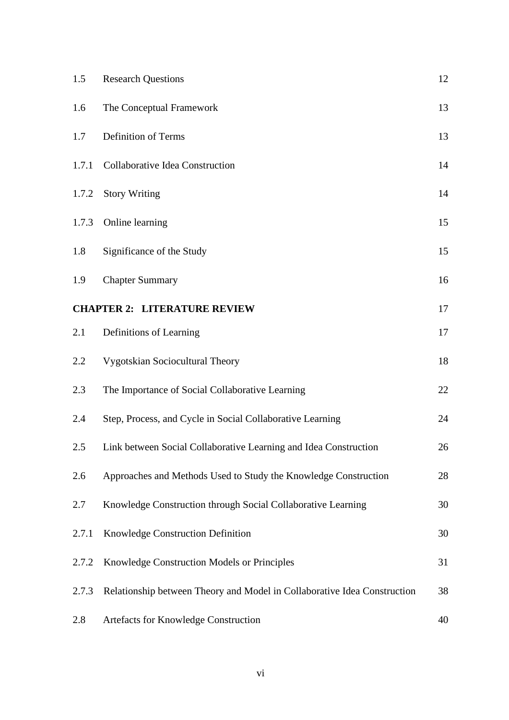| 1.5   | <b>Research Questions</b>                                                | 12 |
|-------|--------------------------------------------------------------------------|----|
| 1.6   | The Conceptual Framework                                                 | 13 |
| 1.7   | Definition of Terms                                                      | 13 |
| 1.7.1 | Collaborative Idea Construction                                          | 14 |
| 1.7.2 | <b>Story Writing</b>                                                     | 14 |
| 1.7.3 | Online learning                                                          | 15 |
| 1.8   | Significance of the Study                                                | 15 |
| 1.9   | <b>Chapter Summary</b>                                                   | 16 |
|       | <b>CHAPTER 2: LITERATURE REVIEW</b>                                      | 17 |
| 2.1   | Definitions of Learning                                                  | 17 |
| 2.2   | Vygotskian Sociocultural Theory                                          | 18 |
| 2.3   | The Importance of Social Collaborative Learning                          | 22 |
| 2.4   | Step, Process, and Cycle in Social Collaborative Learning                | 24 |
| 2.5   | Link between Social Collaborative Learning and Idea Construction         | 26 |
| 2.6   | Approaches and Methods Used to Study the Knowledge Construction          | 28 |
| 2.7   | Knowledge Construction through Social Collaborative Learning             | 30 |
| 2.7.1 | Knowledge Construction Definition                                        | 30 |
| 2.7.2 | Knowledge Construction Models or Principles                              | 31 |
| 2.7.3 | Relationship between Theory and Model in Collaborative Idea Construction | 38 |
| 2.8   | Artefacts for Knowledge Construction                                     | 40 |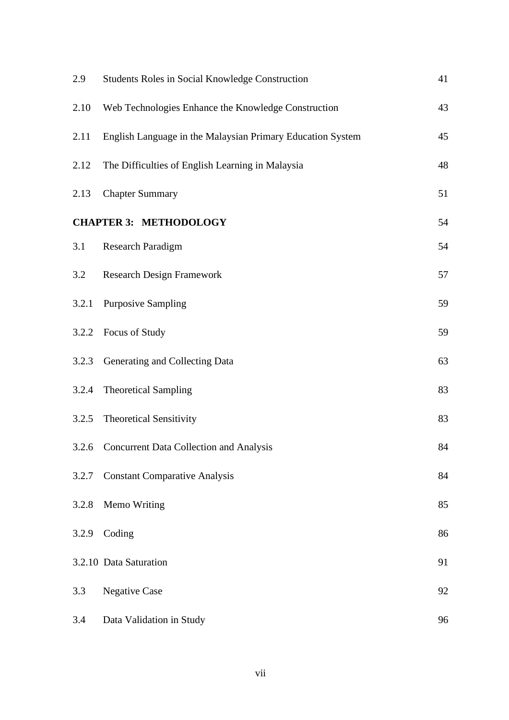| 2.9   | Students Roles in Social Knowledge Construction            | 41 |
|-------|------------------------------------------------------------|----|
| 2.10  | Web Technologies Enhance the Knowledge Construction        | 43 |
| 2.11  | English Language in the Malaysian Primary Education System | 45 |
| 2.12  | The Difficulties of English Learning in Malaysia           | 48 |
| 2.13  | <b>Chapter Summary</b>                                     | 51 |
|       | <b>CHAPTER 3: METHODOLOGY</b>                              | 54 |
| 3.1   | <b>Research Paradigm</b>                                   | 54 |
| 3.2   | <b>Research Design Framework</b>                           | 57 |
| 3.2.1 | <b>Purposive Sampling</b>                                  | 59 |
| 3.2.2 | Focus of Study                                             | 59 |
| 3.2.3 | Generating and Collecting Data                             | 63 |
| 3.2.4 | <b>Theoretical Sampling</b>                                | 83 |
| 3.2.5 | <b>Theoretical Sensitivity</b>                             | 83 |
| 3.2.6 | <b>Concurrent Data Collection and Analysis</b>             | 84 |
| 3.2.7 | <b>Constant Comparative Analysis</b>                       | 84 |
| 3.2.8 | Memo Writing                                               | 85 |
| 3.2.9 | Coding                                                     | 86 |
|       | 3.2.10 Data Saturation                                     | 91 |
| 3.3   | <b>Negative Case</b>                                       | 92 |
| 3.4   | Data Validation in Study                                   | 96 |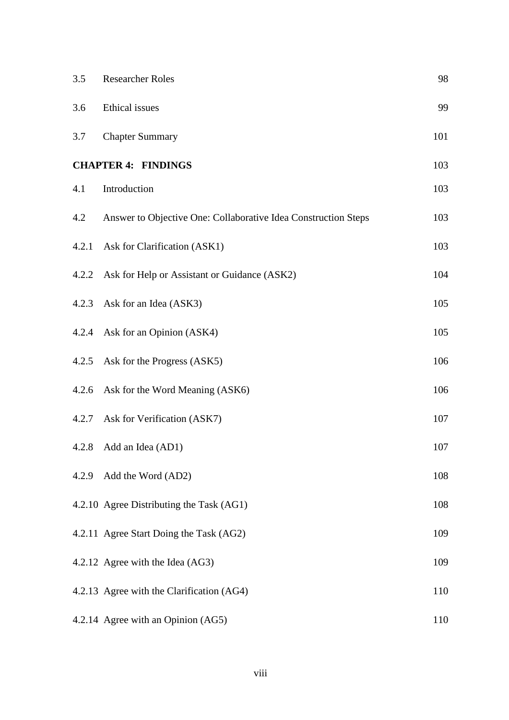| 3.5   | <b>Researcher Roles</b>                                        | 98  |
|-------|----------------------------------------------------------------|-----|
| 3.6   | Ethical issues                                                 | 99  |
| 3.7   | <b>Chapter Summary</b>                                         | 101 |
|       | <b>CHAPTER 4: FINDINGS</b>                                     | 103 |
| 4.1   | Introduction                                                   | 103 |
| 4.2   | Answer to Objective One: Collaborative Idea Construction Steps | 103 |
| 4.2.1 | Ask for Clarification (ASK1)                                   | 103 |
|       | 4.2.2 Ask for Help or Assistant or Guidance (ASK2)             | 104 |
|       | 4.2.3 Ask for an Idea (ASK3)                                   | 105 |
|       | 4.2.4 Ask for an Opinion (ASK4)                                | 105 |
| 4.2.5 | Ask for the Progress (ASK5)                                    | 106 |
|       | 4.2.6 Ask for the Word Meaning (ASK6)                          | 106 |
|       | 4.2.7 Ask for Verification (ASK7)                              | 107 |
|       | 4.2.8 Add an Idea (AD1)                                        | 107 |
| 4.2.9 | Add the Word (AD2)                                             | 108 |
|       | 4.2.10 Agree Distributing the Task (AG1)                       | 108 |
|       | 4.2.11 Agree Start Doing the Task (AG2)                        | 109 |
|       | 4.2.12 Agree with the Idea (AG3)                               | 109 |
|       | 4.2.13 Agree with the Clarification (AG4)                      | 110 |
|       | 4.2.14 Agree with an Opinion (AG5)                             | 110 |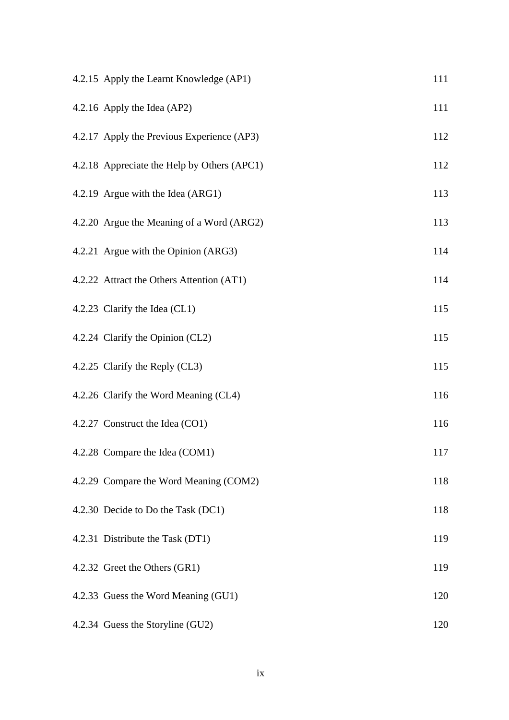| 4.2.15 Apply the Learnt Knowledge (AP1)     | 111 |
|---------------------------------------------|-----|
| 4.2.16 Apply the Idea (AP2)                 | 111 |
| 4.2.17 Apply the Previous Experience (AP3)  | 112 |
| 4.2.18 Appreciate the Help by Others (APC1) | 112 |
| 4.2.19 Argue with the Idea (ARG1)           | 113 |
| 4.2.20 Argue the Meaning of a Word (ARG2)   | 113 |
| 4.2.21 Argue with the Opinion (ARG3)        | 114 |
| 4.2.22 Attract the Others Attention (AT1)   | 114 |
| 4.2.23 Clarify the Idea (CL1)               | 115 |
| 4.2.24 Clarify the Opinion (CL2)            | 115 |
| 4.2.25 Clarify the Reply (CL3)              | 115 |
| 4.2.26 Clarify the Word Meaning (CL4)       | 116 |
| 4.2.27 Construct the Idea (CO1)             | 116 |
| 4.2.28 Compare the Idea (COM1)              | 117 |
| 4.2.29 Compare the Word Meaning (COM2)      | 118 |
| 4.2.30 Decide to Do the Task (DC1)          | 118 |
| 4.2.31 Distribute the Task (DT1)            | 119 |
| 4.2.32 Greet the Others (GR1)               | 119 |
| 4.2.33 Guess the Word Meaning (GU1)         | 120 |
| 4.2.34 Guess the Storyline (GU2)            | 120 |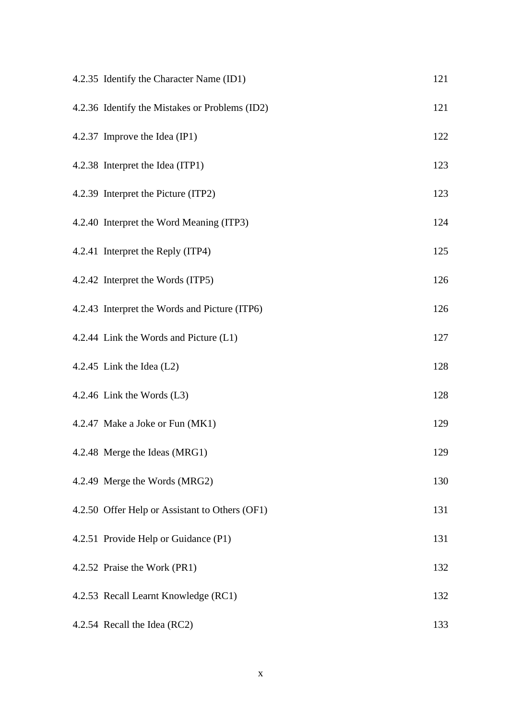| 4.2.35 Identify the Character Name (ID1)       | 121 |
|------------------------------------------------|-----|
| 4.2.36 Identify the Mistakes or Problems (ID2) | 121 |
| 4.2.37 Improve the Idea (IP1)                  | 122 |
| 4.2.38 Interpret the Idea (ITP1)               | 123 |
| 4.2.39 Interpret the Picture (ITP2)            | 123 |
| 4.2.40 Interpret the Word Meaning (ITP3)       | 124 |
| 4.2.41 Interpret the Reply (ITP4)              | 125 |
| 4.2.42 Interpret the Words (ITP5)              | 126 |
| 4.2.43 Interpret the Words and Picture (ITP6)  | 126 |
| 4.2.44 Link the Words and Picture (L1)         | 127 |
| 4.2.45 Link the Idea $(L2)$                    | 128 |
| 4.2.46 Link the Words $(L3)$                   | 128 |
| 4.2.47 Make a Joke or Fun (MK1)                | 129 |
| 4.2.48 Merge the Ideas (MRG1)                  | 129 |
| 4.2.49 Merge the Words (MRG2)                  | 130 |
| 4.2.50 Offer Help or Assistant to Others (OF1) | 131 |
| 4.2.51 Provide Help or Guidance (P1)           | 131 |
| 4.2.52 Praise the Work (PR1)                   | 132 |
| 4.2.53 Recall Learnt Knowledge (RC1)           | 132 |
| 4.2.54 Recall the Idea (RC2)                   | 133 |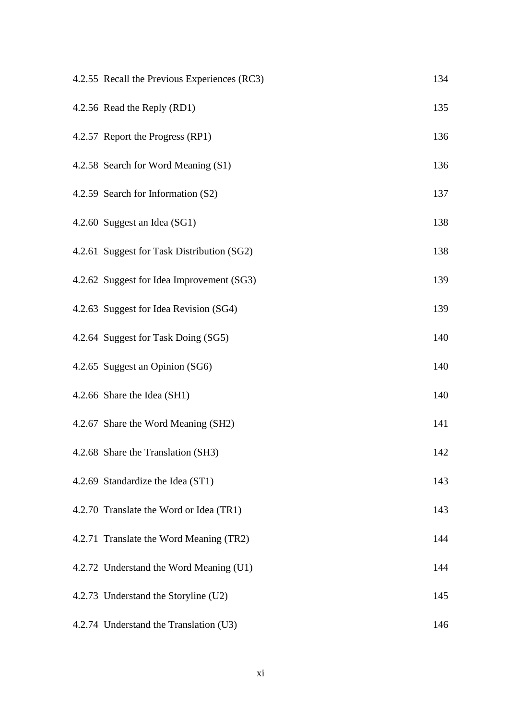| 4.2.55 Recall the Previous Experiences (RC3) | 134 |
|----------------------------------------------|-----|
| 4.2.56 Read the Reply (RD1)                  | 135 |
| 4.2.57 Report the Progress (RP1)             | 136 |
| 4.2.58 Search for Word Meaning (S1)          | 136 |
| 4.2.59 Search for Information (S2)           | 137 |
| 4.2.60 Suggest an Idea (SG1)                 | 138 |
| 4.2.61 Suggest for Task Distribution (SG2)   | 138 |
| 4.2.62 Suggest for Idea Improvement (SG3)    | 139 |
| 4.2.63 Suggest for Idea Revision (SG4)       | 139 |
| 4.2.64 Suggest for Task Doing (SG5)          | 140 |
| 4.2.65 Suggest an Opinion (SG6)              | 140 |
| 4.2.66 Share the Idea (SH1)                  | 140 |
| 4.2.67 Share the Word Meaning (SH2)          | 141 |
| 4.2.68 Share the Translation (SH3)           | 142 |
| 4.2.69 Standardize the Idea (ST1)            | 143 |
| 4.2.70 Translate the Word or Idea (TR1)      | 143 |
| 4.2.71 Translate the Word Meaning (TR2)      | 144 |
| 4.2.72 Understand the Word Meaning (U1)      | 144 |
| 4.2.73 Understand the Storyline (U2)         | 145 |
| 4.2.74 Understand the Translation (U3)       | 146 |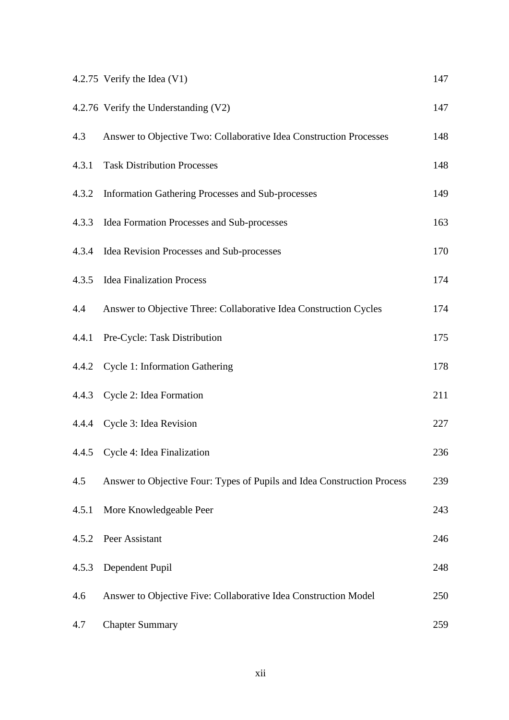|       | 4.2.75 Verify the Idea $(V1)$                                           | 147 |
|-------|-------------------------------------------------------------------------|-----|
|       | 4.2.76 Verify the Understanding (V2)                                    | 147 |
| 4.3   | Answer to Objective Two: Collaborative Idea Construction Processes      | 148 |
| 4.3.1 | <b>Task Distribution Processes</b>                                      | 148 |
| 4.3.2 | Information Gathering Processes and Sub-processes                       | 149 |
| 4.3.3 | Idea Formation Processes and Sub-processes                              | 163 |
| 4.3.4 | Idea Revision Processes and Sub-processes                               | 170 |
| 4.3.5 | <b>Idea Finalization Process</b>                                        | 174 |
| 4.4   | Answer to Objective Three: Collaborative Idea Construction Cycles       | 174 |
| 4.4.1 | Pre-Cycle: Task Distribution                                            | 175 |
| 4.4.2 | <b>Cycle 1: Information Gathering</b>                                   | 178 |
|       | 4.4.3 Cycle 2: Idea Formation                                           | 211 |
| 4.4.4 | Cycle 3: Idea Revision                                                  | 227 |
|       | 4.4.5 Cycle 4: Idea Finalization                                        | 236 |
| 4.5   | Answer to Objective Four: Types of Pupils and Idea Construction Process | 239 |
| 4.5.1 | More Knowledgeable Peer                                                 | 243 |
| 4.5.2 | Peer Assistant                                                          | 246 |
| 4.5.3 | Dependent Pupil                                                         | 248 |
| 4.6   | Answer to Objective Five: Collaborative Idea Construction Model         | 250 |
| 4.7   | <b>Chapter Summary</b>                                                  | 259 |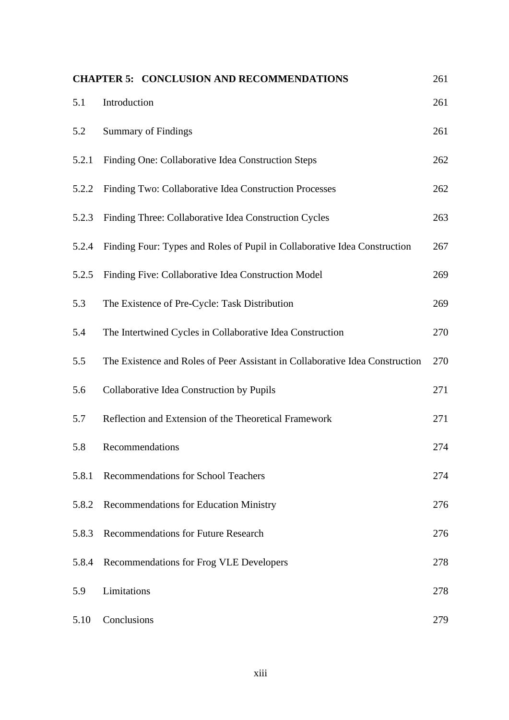|       | <b>CHAPTER 5: CONCLUSION AND RECOMMENDATIONS</b>                             | 261 |
|-------|------------------------------------------------------------------------------|-----|
| 5.1   | Introduction                                                                 | 261 |
| 5.2   | <b>Summary of Findings</b>                                                   | 261 |
| 5.2.1 | Finding One: Collaborative Idea Construction Steps                           | 262 |
| 5.2.2 | Finding Two: Collaborative Idea Construction Processes                       | 262 |
| 5.2.3 | Finding Three: Collaborative Idea Construction Cycles                        | 263 |
| 5.2.4 | Finding Four: Types and Roles of Pupil in Collaborative Idea Construction    | 267 |
| 5.2.5 | Finding Five: Collaborative Idea Construction Model                          | 269 |
| 5.3   | The Existence of Pre-Cycle: Task Distribution                                | 269 |
| 5.4   | The Intertwined Cycles in Collaborative Idea Construction                    | 270 |
| 5.5   | The Existence and Roles of Peer Assistant in Collaborative Idea Construction | 270 |
| 5.6   | Collaborative Idea Construction by Pupils                                    | 271 |
| 5.7   | Reflection and Extension of the Theoretical Framework                        | 271 |
| 5.8   | Recommendations                                                              | 274 |
| 5.8.1 | <b>Recommendations for School Teachers</b>                                   | 274 |
| 5.8.2 | <b>Recommendations for Education Ministry</b>                                | 276 |
| 5.8.3 | <b>Recommendations for Future Research</b>                                   | 276 |
| 5.8.4 | Recommendations for Frog VLE Developers                                      | 278 |
| 5.9   | Limitations                                                                  | 278 |
| 5.10  | Conclusions                                                                  | 279 |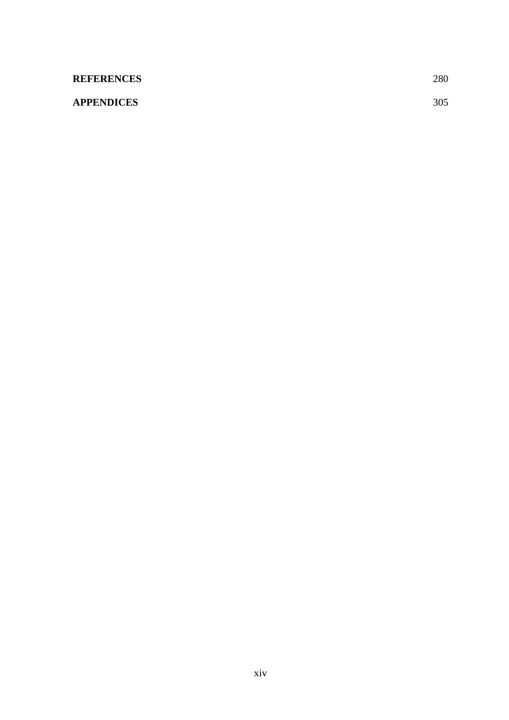| <b>REFERENCES</b> | 280 |
|-------------------|-----|
| <b>APPENDICES</b> | 305 |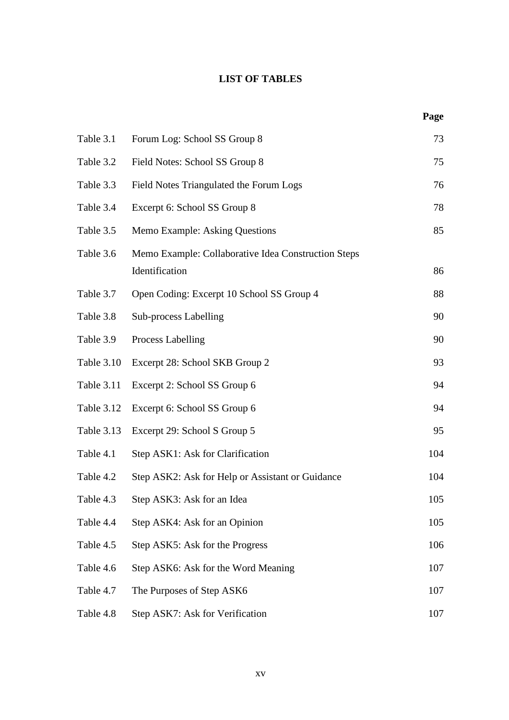### **LIST OF TABLES**

**Page**

| Table 3.1  | Forum Log: School SS Group 8                                          | 73  |
|------------|-----------------------------------------------------------------------|-----|
| Table 3.2  | Field Notes: School SS Group 8                                        | 75  |
| Table 3.3  | Field Notes Triangulated the Forum Logs                               | 76  |
| Table 3.4  | Excerpt 6: School SS Group 8                                          | 78  |
| Table 3.5  | Memo Example: Asking Questions                                        | 85  |
| Table 3.6  | Memo Example: Collaborative Idea Construction Steps<br>Identification | 86  |
| Table 3.7  | Open Coding: Excerpt 10 School SS Group 4                             | 88  |
| Table 3.8  | Sub-process Labelling                                                 | 90  |
| Table 3.9  | Process Labelling                                                     | 90  |
| Table 3.10 | Excerpt 28: School SKB Group 2                                        | 93  |
| Table 3.11 | Excerpt 2: School SS Group 6                                          | 94  |
| Table 3.12 | Excerpt 6: School SS Group 6                                          | 94  |
| Table 3.13 | Excerpt 29: School S Group 5                                          | 95  |
| Table 4.1  | Step ASK1: Ask for Clarification                                      | 104 |
| Table 4.2  | Step ASK2: Ask for Help or Assistant or Guidance                      | 104 |
| Table 4.3  | Step ASK3: Ask for an Idea                                            | 105 |
| Table 4.4  | Step ASK4: Ask for an Opinion                                         | 105 |
| Table 4.5  | Step ASK5: Ask for the Progress                                       | 106 |
| Table 4.6  | Step ASK6: Ask for the Word Meaning                                   | 107 |
| Table 4.7  | The Purposes of Step ASK6                                             | 107 |
| Table 4.8  | Step ASK7: Ask for Verification                                       | 107 |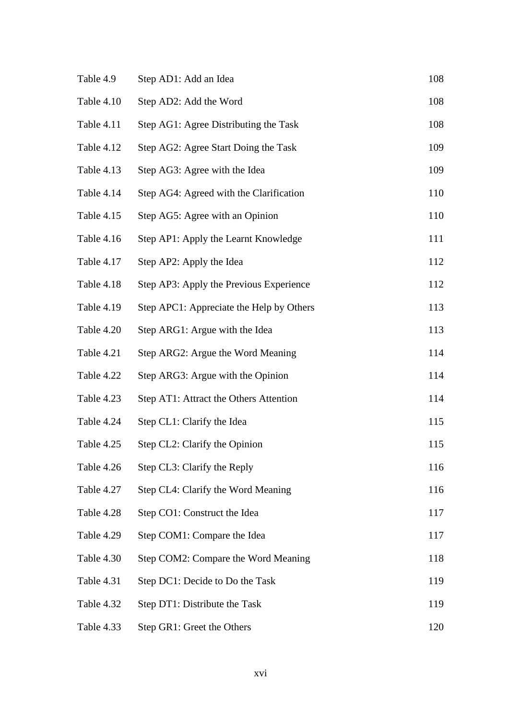| Table 4.9  | Step AD1: Add an Idea                    | 108 |
|------------|------------------------------------------|-----|
| Table 4.10 | Step AD2: Add the Word                   | 108 |
| Table 4.11 | Step AG1: Agree Distributing the Task    | 108 |
| Table 4.12 | Step AG2: Agree Start Doing the Task     | 109 |
| Table 4.13 | Step AG3: Agree with the Idea            | 109 |
| Table 4.14 | Step AG4: Agreed with the Clarification  | 110 |
| Table 4.15 | Step AG5: Agree with an Opinion          | 110 |
| Table 4.16 | Step AP1: Apply the Learnt Knowledge     | 111 |
| Table 4.17 | Step AP2: Apply the Idea                 | 112 |
| Table 4.18 | Step AP3: Apply the Previous Experience  | 112 |
| Table 4.19 | Step APC1: Appreciate the Help by Others | 113 |
| Table 4.20 | Step ARG1: Argue with the Idea           | 113 |
| Table 4.21 | Step ARG2: Argue the Word Meaning        | 114 |
| Table 4.22 | Step ARG3: Argue with the Opinion        | 114 |
| Table 4.23 | Step AT1: Attract the Others Attention   | 114 |
| Table 4.24 | Step CL1: Clarify the Idea               | 115 |
| Table 4.25 | Step CL2: Clarify the Opinion            | 115 |
| Table 4.26 | Step CL3: Clarify the Reply              | 116 |
| Table 4.27 | Step CL4: Clarify the Word Meaning       | 116 |
| Table 4.28 | Step CO1: Construct the Idea             | 117 |
| Table 4.29 | Step COM1: Compare the Idea              | 117 |
| Table 4.30 | Step COM2: Compare the Word Meaning      | 118 |
| Table 4.31 | Step DC1: Decide to Do the Task          | 119 |
| Table 4.32 | Step DT1: Distribute the Task            | 119 |
| Table 4.33 | Step GR1: Greet the Others               | 120 |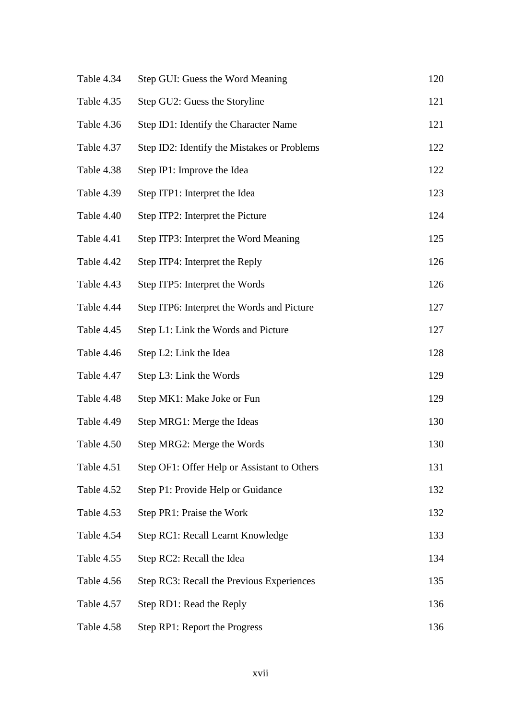| Table 4.34 | Step GUI: Guess the Word Meaning            | 120 |
|------------|---------------------------------------------|-----|
| Table 4.35 | Step GU2: Guess the Storyline               | 121 |
| Table 4.36 | Step ID1: Identify the Character Name       | 121 |
| Table 4.37 | Step ID2: Identify the Mistakes or Problems | 122 |
| Table 4.38 | Step IP1: Improve the Idea                  | 122 |
| Table 4.39 | Step ITP1: Interpret the Idea               | 123 |
| Table 4.40 | Step ITP2: Interpret the Picture            | 124 |
| Table 4.41 | Step ITP3: Interpret the Word Meaning       | 125 |
| Table 4.42 | Step ITP4: Interpret the Reply              | 126 |
| Table 4.43 | Step ITP5: Interpret the Words              | 126 |
| Table 4.44 | Step ITP6: Interpret the Words and Picture  | 127 |
| Table 4.45 | Step L1: Link the Words and Picture         | 127 |
| Table 4.46 | Step L2: Link the Idea                      | 128 |
| Table 4.47 | Step L3: Link the Words                     | 129 |
| Table 4.48 | Step MK1: Make Joke or Fun                  | 129 |
| Table 4.49 | Step MRG1: Merge the Ideas                  | 130 |
| Table 4.50 | Step MRG2: Merge the Words                  | 130 |
| Table 4.51 | Step OF1: Offer Help or Assistant to Others | 131 |
| Table 4.52 | Step P1: Provide Help or Guidance           | 132 |
| Table 4.53 | Step PR1: Praise the Work                   | 132 |
| Table 4.54 | Step RC1: Recall Learnt Knowledge           | 133 |
| Table 4.55 | Step RC2: Recall the Idea                   | 134 |
| Table 4.56 | Step RC3: Recall the Previous Experiences   | 135 |
| Table 4.57 | Step RD1: Read the Reply                    | 136 |
| Table 4.58 | Step RP1: Report the Progress               | 136 |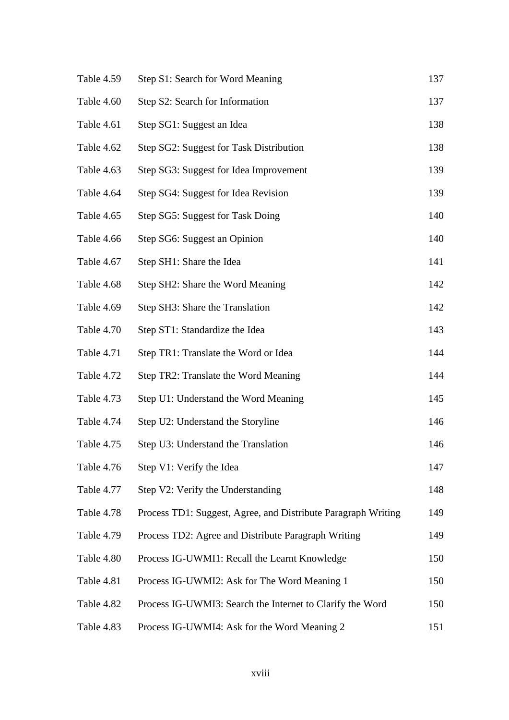| Table 4.59 | Step S1: Search for Word Meaning                              | 137 |
|------------|---------------------------------------------------------------|-----|
| Table 4.60 | Step S2: Search for Information                               | 137 |
| Table 4.61 | Step SG1: Suggest an Idea                                     | 138 |
| Table 4.62 | Step SG2: Suggest for Task Distribution                       | 138 |
| Table 4.63 | Step SG3: Suggest for Idea Improvement                        | 139 |
| Table 4.64 | Step SG4: Suggest for Idea Revision                           | 139 |
| Table 4.65 | Step SG5: Suggest for Task Doing                              | 140 |
| Table 4.66 | Step SG6: Suggest an Opinion                                  | 140 |
| Table 4.67 | Step SH1: Share the Idea                                      | 141 |
| Table 4.68 | Step SH2: Share the Word Meaning                              | 142 |
| Table 4.69 | Step SH3: Share the Translation                               | 142 |
| Table 4.70 | Step ST1: Standardize the Idea                                | 143 |
| Table 4.71 | Step TR1: Translate the Word or Idea                          | 144 |
| Table 4.72 | Step TR2: Translate the Word Meaning                          | 144 |
| Table 4.73 | Step U1: Understand the Word Meaning                          | 145 |
| Table 4.74 | Step U2: Understand the Storyline                             | 146 |
| Table 4.75 | Step U3: Understand the Translation                           | 146 |
| Table 4.76 | Step V1: Verify the Idea                                      | 147 |
| Table 4.77 | Step V2: Verify the Understanding                             | 148 |
| Table 4.78 | Process TD1: Suggest, Agree, and Distribute Paragraph Writing | 149 |
| Table 4.79 | Process TD2: Agree and Distribute Paragraph Writing           | 149 |
| Table 4.80 | Process IG-UWMI1: Recall the Learnt Knowledge                 | 150 |
| Table 4.81 | Process IG-UWMI2: Ask for The Word Meaning 1                  | 150 |
| Table 4.82 | Process IG-UWMI3: Search the Internet to Clarify the Word     | 150 |
| Table 4.83 | Process IG-UWMI4: Ask for the Word Meaning 2                  | 151 |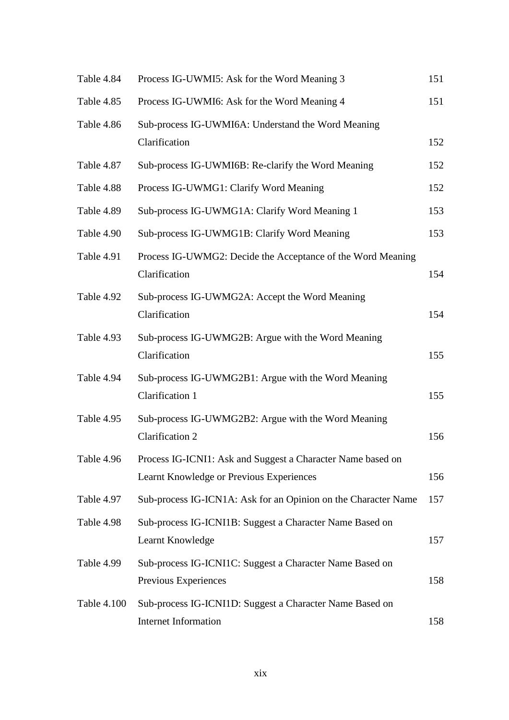| Table 4.84  | Process IG-UWMI5: Ask for the Word Meaning 3                                                            | 151 |
|-------------|---------------------------------------------------------------------------------------------------------|-----|
| Table 4.85  | Process IG-UWMI6: Ask for the Word Meaning 4                                                            | 151 |
| Table 4.86  | Sub-process IG-UWMI6A: Understand the Word Meaning<br>Clarification                                     | 152 |
| Table 4.87  | Sub-process IG-UWMI6B: Re-clarify the Word Meaning                                                      | 152 |
| Table 4.88  | Process IG-UWMG1: Clarify Word Meaning                                                                  | 152 |
| Table 4.89  | Sub-process IG-UWMG1A: Clarify Word Meaning 1                                                           | 153 |
| Table 4.90  | Sub-process IG-UWMG1B: Clarify Word Meaning                                                             | 153 |
| Table 4.91  | Process IG-UWMG2: Decide the Acceptance of the Word Meaning<br>Clarification                            | 154 |
| Table 4.92  | Sub-process IG-UWMG2A: Accept the Word Meaning<br>Clarification                                         | 154 |
| Table 4.93  | Sub-process IG-UWMG2B: Argue with the Word Meaning<br>Clarification                                     | 155 |
| Table 4.94  | Sub-process IG-UWMG2B1: Argue with the Word Meaning<br>Clarification 1                                  | 155 |
| Table 4.95  | Sub-process IG-UWMG2B2: Argue with the Word Meaning<br>Clarification 2                                  | 156 |
| Table 4.96  | Process IG-ICNI1: Ask and Suggest a Character Name based on<br>Learnt Knowledge or Previous Experiences | 156 |
| Table 4.97  | Sub-process IG-ICN1A: Ask for an Opinion on the Character Name                                          | 157 |
| Table 4.98  | Sub-process IG-ICNI1B: Suggest a Character Name Based on<br>Learnt Knowledge                            | 157 |
| Table 4.99  | Sub-process IG-ICNI1C: Suggest a Character Name Based on<br>Previous Experiences                        | 158 |
| Table 4.100 | Sub-process IG-ICNI1D: Suggest a Character Name Based on<br>Internet Information                        | 158 |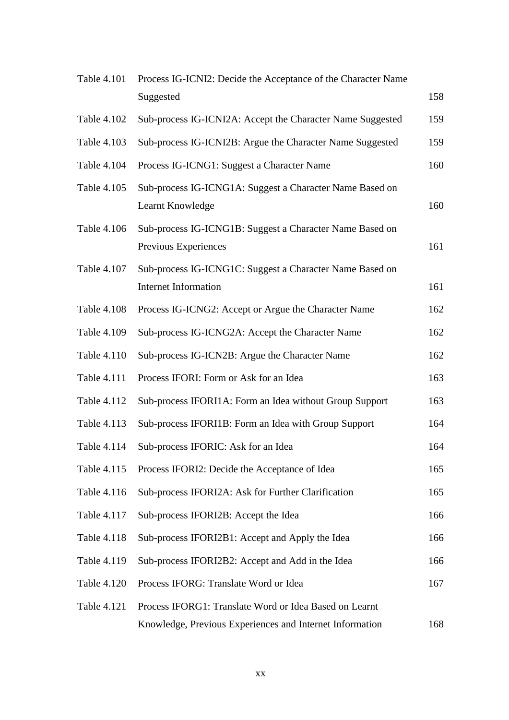| <b>Table 4.101</b> | Process IG-ICNI2: Decide the Acceptance of the Character Name                           |     |
|--------------------|-----------------------------------------------------------------------------------------|-----|
|                    | Suggested                                                                               | 158 |
| Table 4.102        | Sub-process IG-ICNI2A: Accept the Character Name Suggested                              | 159 |
| Table 4.103        | Sub-process IG-ICNI2B: Argue the Character Name Suggested                               | 159 |
| Table 4.104        | Process IG-ICNG1: Suggest a Character Name                                              | 160 |
| Table 4.105        | Sub-process IG-ICNG1A: Suggest a Character Name Based on<br>Learnt Knowledge            | 160 |
| Table 4.106        | Sub-process IG-ICNG1B: Suggest a Character Name Based on<br>Previous Experiences        | 161 |
| Table 4.107        | Sub-process IG-ICNG1C: Suggest a Character Name Based on<br><b>Internet Information</b> | 161 |
| Table 4.108        | Process IG-ICNG2: Accept or Argue the Character Name                                    | 162 |
| Table 4.109        | Sub-process IG-ICNG2A: Accept the Character Name                                        | 162 |
| Table 4.110        | Sub-process IG-ICN2B: Argue the Character Name                                          | 162 |
| Table 4.111        | Process IFORI: Form or Ask for an Idea                                                  | 163 |
| Table 4.112        | Sub-process IFORI1A: Form an Idea without Group Support                                 | 163 |
| Table 4.113        | Sub-process IFORI1B: Form an Idea with Group Support                                    | 164 |
| Table 4.114        | Sub-process IFORIC: Ask for an Idea                                                     | 164 |
| Table 4.115        | Process IFORI2: Decide the Acceptance of Idea                                           | 165 |
| Table 4.116        | Sub-process IFORI2A: Ask for Further Clarification                                      | 165 |
| Table 4.117        | Sub-process IFORI2B: Accept the Idea                                                    | 166 |
| <b>Table 4.118</b> | Sub-process IFORI2B1: Accept and Apply the Idea                                         | 166 |
| Table 4.119        | Sub-process IFORI2B2: Accept and Add in the Idea                                        | 166 |
| Table 4.120        | Process IFORG: Translate Word or Idea                                                   | 167 |
| <b>Table 4.121</b> | Process IFORG1: Translate Word or Idea Based on Learnt                                  |     |
|                    | Knowledge, Previous Experiences and Internet Information                                | 168 |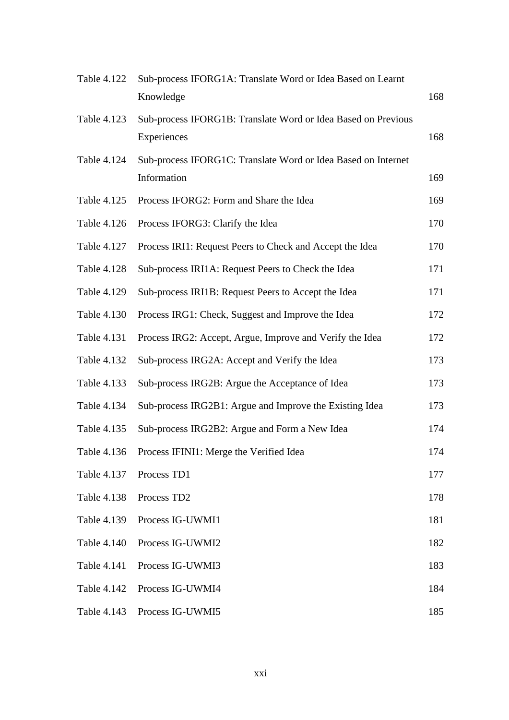| <b>Table 4.122</b> | Sub-process IFORG1A: Translate Word or Idea Based on Learnt                  |     |
|--------------------|------------------------------------------------------------------------------|-----|
|                    | Knowledge                                                                    | 168 |
| Table 4.123        | Sub-process IFORG1B: Translate Word or Idea Based on Previous<br>Experiences | 168 |
| Table 4.124        | Sub-process IFORG1C: Translate Word or Idea Based on Internet<br>Information | 169 |
| Table 4.125        | Process IFORG2: Form and Share the Idea                                      | 169 |
| Table 4.126        | Process IFORG3: Clarify the Idea                                             | 170 |
| Table 4.127        | Process IRI1: Request Peers to Check and Accept the Idea                     | 170 |
| Table 4.128        | Sub-process IRI1A: Request Peers to Check the Idea                           | 171 |
| Table 4.129        | Sub-process IRI1B: Request Peers to Accept the Idea                          | 171 |
| Table 4.130        | Process IRG1: Check, Suggest and Improve the Idea                            | 172 |
| Table 4.131        | Process IRG2: Accept, Argue, Improve and Verify the Idea                     | 172 |
| Table 4.132        | Sub-process IRG2A: Accept and Verify the Idea                                | 173 |
| Table 4.133        | Sub-process IRG2B: Argue the Acceptance of Idea                              | 173 |
| Table 4.134        | Sub-process IRG2B1: Argue and Improve the Existing Idea                      | 173 |
| Table 4.135        | Sub-process IRG2B2: Argue and Form a New Idea                                | 174 |
| Table 4.136        | Process IFINI1: Merge the Verified Idea                                      | 174 |
| Table 4.137        | Process TD1                                                                  | 177 |
| Table 4.138        | Process TD <sub>2</sub>                                                      | 178 |
| Table 4.139        | Process IG-UWMI1                                                             | 181 |
| Table 4.140        | Process IG-UWMI2                                                             | 182 |
| Table 4.141        | Process IG-UWMI3                                                             | 183 |
| Table 4.142        | Process IG-UWMI4                                                             | 184 |
| Table 4.143        | Process IG-UWMI5                                                             | 185 |